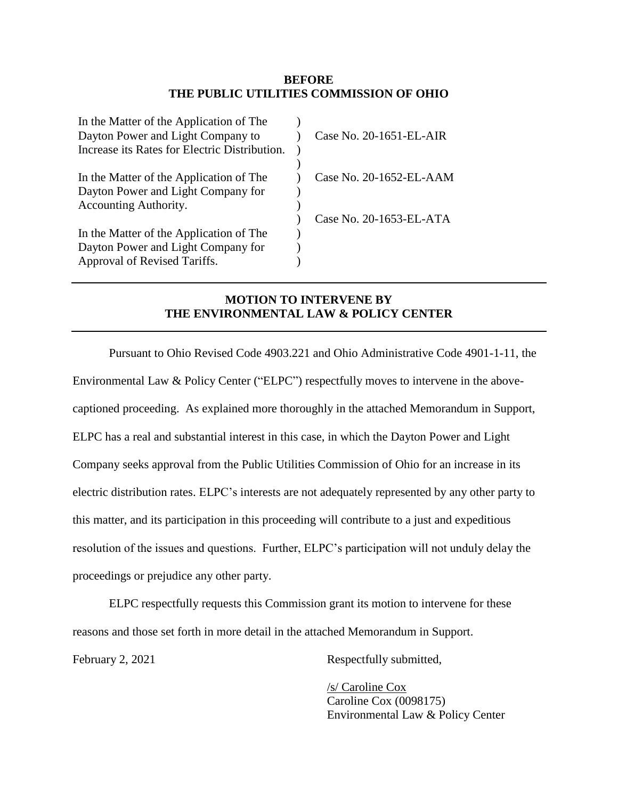## **BEFORE THE PUBLIC UTILITIES COMMISSION OF OHIO**

| Case No. 20-1651-EL-AIR |
|-------------------------|
|                         |
|                         |
| Case No. 20-1652-EL-AAM |
|                         |
|                         |
| Case No. 20-1653-EL-ATA |
|                         |
|                         |
|                         |
|                         |

## **MOTION TO INTERVENE BY THE ENVIRONMENTAL LAW & POLICY CENTER**

Pursuant to Ohio Revised Code 4903.221 and Ohio Administrative Code 4901-1-11, the Environmental Law & Policy Center ("ELPC") respectfully moves to intervene in the abovecaptioned proceeding. As explained more thoroughly in the attached Memorandum in Support, ELPC has a real and substantial interest in this case, in which the Dayton Power and Light Company seeks approval from the Public Utilities Commission of Ohio for an increase in its electric distribution rates. ELPC's interests are not adequately represented by any other party to this matter, and its participation in this proceeding will contribute to a just and expeditious resolution of the issues and questions. Further, ELPC's participation will not unduly delay the proceedings or prejudice any other party.

ELPC respectfully requests this Commission grant its motion to intervene for these reasons and those set forth in more detail in the attached Memorandum in Support.

February 2, 2021 Respectfully submitted,

/s/ Caroline Cox Caroline Cox (0098175) Environmental Law & Policy Center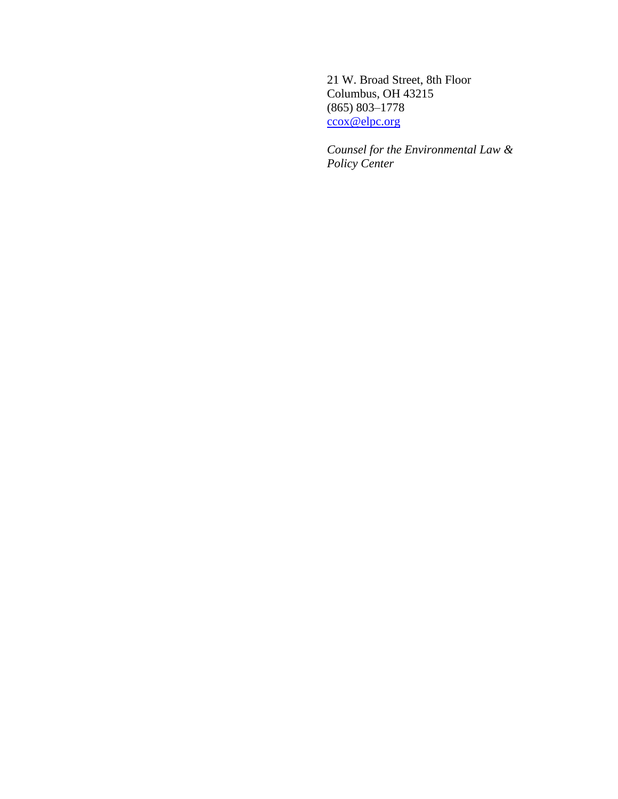21 W. Broad Street, 8th Floor Columbus, OH 43215 (865) 803–1778 [ccox@elpc.org](mailto:ccox@elpc.org)

*Counsel for the Environmental Law & Policy Center*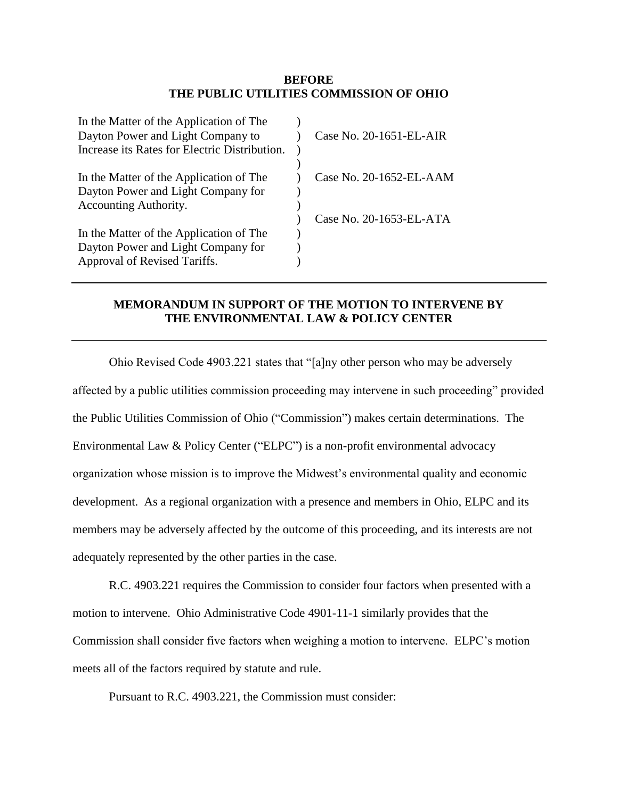## **BEFORE THE PUBLIC UTILITIES COMMISSION OF OHIO**

| In the Matter of the Application of The<br>Dayton Power and Light Company to<br>Increase its Rates for Electric Distribution. | Case No. 20-1651-EL-AIR |
|-------------------------------------------------------------------------------------------------------------------------------|-------------------------|
|                                                                                                                               |                         |
| In the Matter of the Application of The                                                                                       | Case No. 20-1652-EL-AAM |
| Dayton Power and Light Company for                                                                                            |                         |
| Accounting Authority.                                                                                                         |                         |
|                                                                                                                               | Case No. 20-1653-EL-ATA |
| In the Matter of the Application of The                                                                                       |                         |
| Dayton Power and Light Company for                                                                                            |                         |
| Approval of Revised Tariffs.                                                                                                  |                         |
|                                                                                                                               |                         |

## **MEMORANDUM IN SUPPORT OF THE MOTION TO INTERVENE BY THE ENVIRONMENTAL LAW & POLICY CENTER**

Ohio Revised Code 4903.221 states that "[a]ny other person who may be adversely affected by a public utilities commission proceeding may intervene in such proceeding" provided the Public Utilities Commission of Ohio ("Commission") makes certain determinations. The Environmental Law & Policy Center ("ELPC") is a non-profit environmental advocacy organization whose mission is to improve the Midwest's environmental quality and economic development. As a regional organization with a presence and members in Ohio, ELPC and its members may be adversely affected by the outcome of this proceeding, and its interests are not adequately represented by the other parties in the case.

R.C. 4903.221 requires the Commission to consider four factors when presented with a motion to intervene. Ohio Administrative Code 4901-11-1 similarly provides that the Commission shall consider five factors when weighing a motion to intervene. ELPC's motion meets all of the factors required by statute and rule.

Pursuant to R.C. 4903.221, the Commission must consider: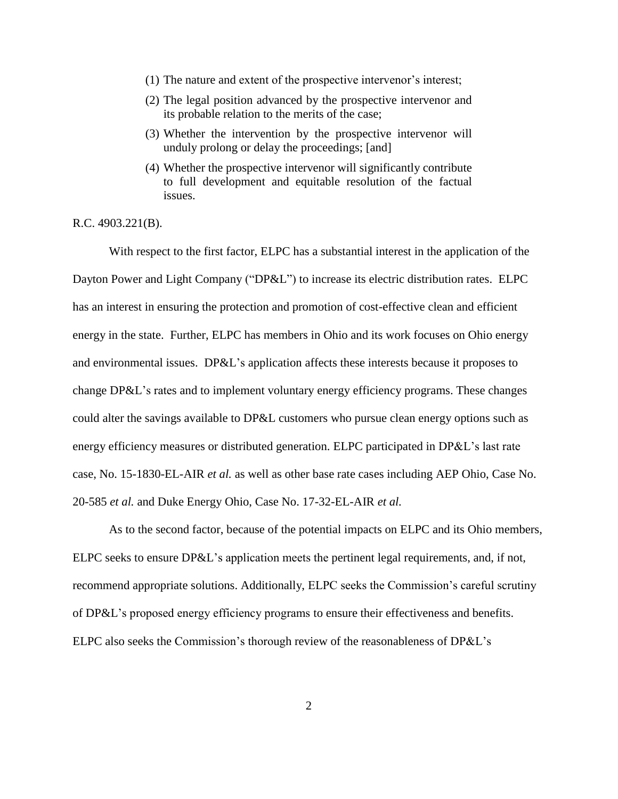- (1) The nature and extent of the prospective intervenor's interest;
- (2) The legal position advanced by the prospective intervenor and its probable relation to the merits of the case;
- (3) Whether the intervention by the prospective intervenor will unduly prolong or delay the proceedings; [and]
- (4) Whether the prospective intervenor will significantly contribute to full development and equitable resolution of the factual issues.

R.C. 4903.221(B).

With respect to the first factor, ELPC has a substantial interest in the application of the Dayton Power and Light Company ("DP&L") to increase its electric distribution rates. ELPC has an interest in ensuring the protection and promotion of cost-effective clean and efficient energy in the state. Further, ELPC has members in Ohio and its work focuses on Ohio energy and environmental issues. DP&L's application affects these interests because it proposes to change DP&L's rates and to implement voluntary energy efficiency programs. These changes could alter the savings available to DP&L customers who pursue clean energy options such as energy efficiency measures or distributed generation. ELPC participated in DP&L's last rate case, No. 15-1830-EL-AIR *et al.* as well as other base rate cases including AEP Ohio, Case No. 20-585 *et al.* and Duke Energy Ohio, Case No. 17-32-EL-AIR *et al.*

As to the second factor, because of the potential impacts on ELPC and its Ohio members, ELPC seeks to ensure DP&L's application meets the pertinent legal requirements, and, if not, recommend appropriate solutions. Additionally, ELPC seeks the Commission's careful scrutiny of DP&L's proposed energy efficiency programs to ensure their effectiveness and benefits. ELPC also seeks the Commission's thorough review of the reasonableness of DP&L's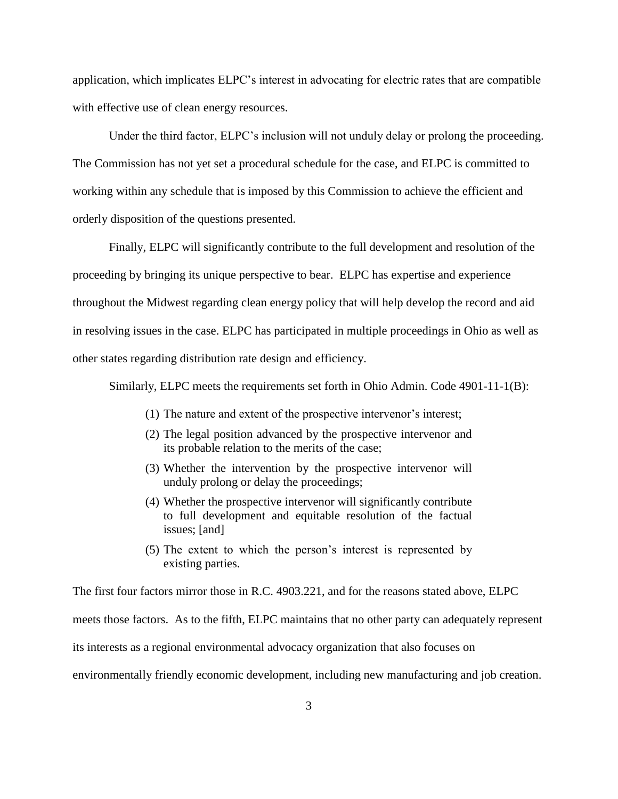application, which implicates ELPC's interest in advocating for electric rates that are compatible with effective use of clean energy resources.

Under the third factor, ELPC's inclusion will not unduly delay or prolong the proceeding. The Commission has not yet set a procedural schedule for the case, and ELPC is committed to working within any schedule that is imposed by this Commission to achieve the efficient and orderly disposition of the questions presented.

Finally, ELPC will significantly contribute to the full development and resolution of the proceeding by bringing its unique perspective to bear. ELPC has expertise and experience throughout the Midwest regarding clean energy policy that will help develop the record and aid in resolving issues in the case. ELPC has participated in multiple proceedings in Ohio as well as other states regarding distribution rate design and efficiency.

Similarly, ELPC meets the requirements set forth in Ohio Admin. Code 4901-11-1(B):

- (1) The nature and extent of the prospective intervenor's interest;
- (2) The legal position advanced by the prospective intervenor and its probable relation to the merits of the case;
- (3) Whether the intervention by the prospective intervenor will unduly prolong or delay the proceedings;
- (4) Whether the prospective intervenor will significantly contribute to full development and equitable resolution of the factual issues; [and]
- (5) The extent to which the person's interest is represented by existing parties.

The first four factors mirror those in R.C. 4903.221, and for the reasons stated above, ELPC

meets those factors. As to the fifth, ELPC maintains that no other party can adequately represent

its interests as a regional environmental advocacy organization that also focuses on

environmentally friendly economic development, including new manufacturing and job creation.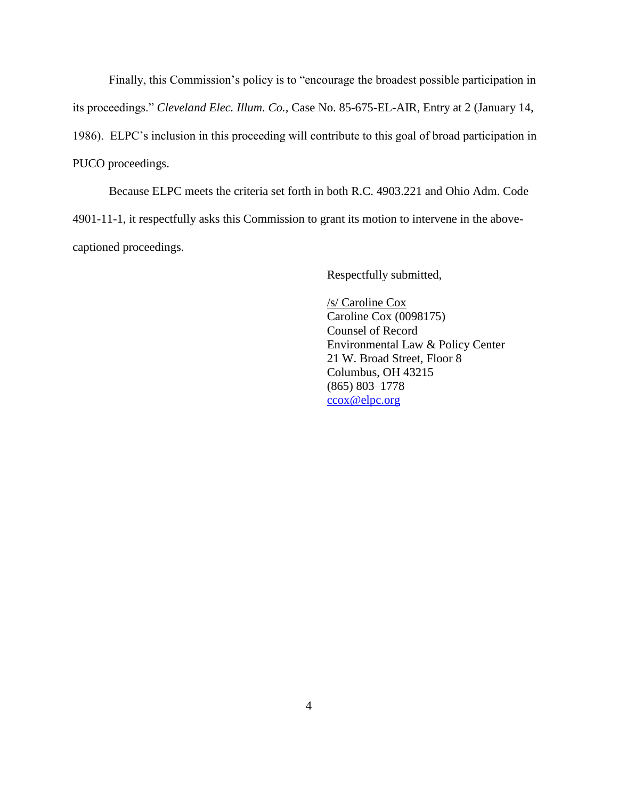Finally, this Commission's policy is to "encourage the broadest possible participation in its proceedings." *Cleveland Elec. Illum. Co.,* Case No. 85-675-EL-AIR, Entry at 2 (January 14, 1986). ELPC's inclusion in this proceeding will contribute to this goal of broad participation in PUCO proceedings.

Because ELPC meets the criteria set forth in both R.C. 4903.221 and Ohio Adm. Code 4901-11-1, it respectfully asks this Commission to grant its motion to intervene in the abovecaptioned proceedings.

Respectfully submitted,

/s/ Caroline Cox Caroline Cox (0098175) Counsel of Record Environmental Law & Policy Center 21 W. Broad Street, Floor 8 Columbus, OH 43215 (865) 803–1778 [ccox@elpc.org](mailto:ccox@elpc.org)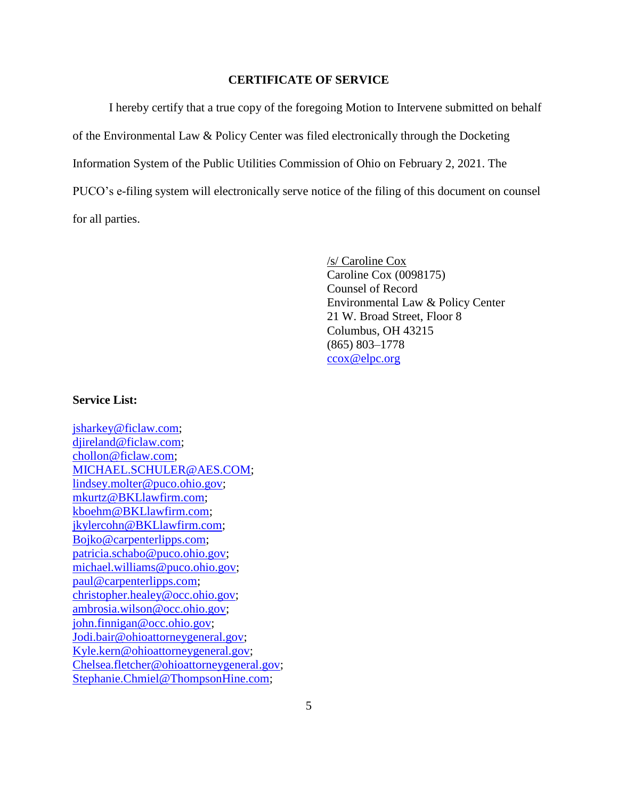#### **CERTIFICATE OF SERVICE**

I hereby certify that a true copy of the foregoing Motion to Intervene submitted on behalf of the Environmental Law & Policy Center was filed electronically through the Docketing Information System of the Public Utilities Commission of Ohio on February 2, 2021. The PUCO's e-filing system will electronically serve notice of the filing of this document on counsel for all parties.

> /s/ Caroline Cox Caroline Cox (0098175) Counsel of Record Environmental Law & Policy Center 21 W. Broad Street, Floor 8 Columbus, OH 43215 (865) 803–1778 [ccox@elpc.org](mailto:ccox@elpc.org)

#### **Service List:**

[jsharkey@ficlaw.com;](mailto:jsharkey@ficlaw.com) [djireland@ficlaw.com;](mailto:djireland@ficlaw.com) [chollon@ficlaw.com;](mailto:chollon@ficlaw.com) [MICHAEL.SCHULER@AES.COM;](mailto:MICHAEL.SCHULER@AES.COM) [lindsey.molter@puco.ohio.gov;](mailto:lindsey.molter@puco.ohio.gov) [mkurtz@BKLlawfirm.com;](mailto:mkurtz@BKLlawfirm.com) [kboehm@BKLlawfirm.com;](mailto:kboehm@BKLlawfirm.com) [jkylercohn@BKLlawfirm.com;](mailto:jkylercohn@BKLlawfirm.com) [Bojko@carpenterlipps.com;](mailto:Bojko@carpenterlipps.com) [patricia.schabo@puco.ohio.gov;](mailto:patricia.schabo@puco.ohio.gov) [michael.williams@puco.ohio.gov;](mailto:michael.williams@puco.ohio.gov) [paul@carpenterlipps.com;](mailto:paul@carpenterlipps.com) [christopher.healey@occ.ohio.gov;](mailto:christopher.healey@occ.ohio.gov) [ambrosia.wilson@occ.ohio.gov;](mailto:ambrosia.wilson@occ.ohio.gov) [john.finnigan@occ.ohio.gov;](mailto:john.finnigan@occ.ohio.gov) [Jodi.bair@ohioattorneygeneral.gov;](mailto:Jodi.bair@ohioattorneygeneral.gov) [Kyle.kern@ohioattorneygeneral.gov;](mailto:Kyle.kern@ohioattorneygeneral.gov) [Chelsea.fletcher@ohioattorneygeneral.gov;](mailto:Chelsea.fletcher@ohioattorneygeneral.gov) [Stephanie.Chmiel@ThompsonHine.com;](mailto:Stephanie.Chmiel@ThompsonHine.com)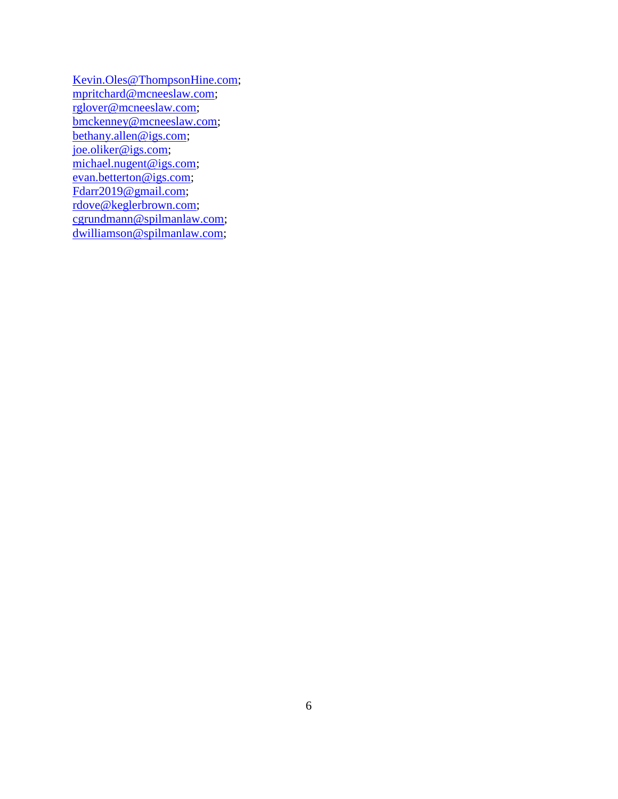[Kevin.Oles@ThompsonHine.com;](mailto:Kevin.Oles@ThompsonHine.com) [mpritchard@mcneeslaw.com;](mailto:mpritchard@mcneeslaw.com) [rglover@mcneeslaw.com;](mailto:rglover@mcneeslaw.com) [bmckenney@mcneeslaw.com;](mailto:bmckenney@mcneeslaw.com) [bethany.allen@igs.com;](mailto:bethany.allen@igs.com) [joe.oliker@igs.com;](mailto:joe.oliker@igs.com) [michael.nugent@igs.com;](mailto:michael.nugent@igs.com) [evan.betterton@igs.com;](mailto:evan.betterton@igs.com) [Fdarr2019@gmail.com;](mailto:Fdarr2019@gmail.com) [rdove@keglerbrown.com;](mailto:rdove@keglerbrown.com) [cgrundmann@spilmanlaw.com;](mailto:cgrundmann@spilmanlaw.com) [dwilliamson@spilmanlaw.com;](mailto:dwilliamson@spilmanlaw.com)